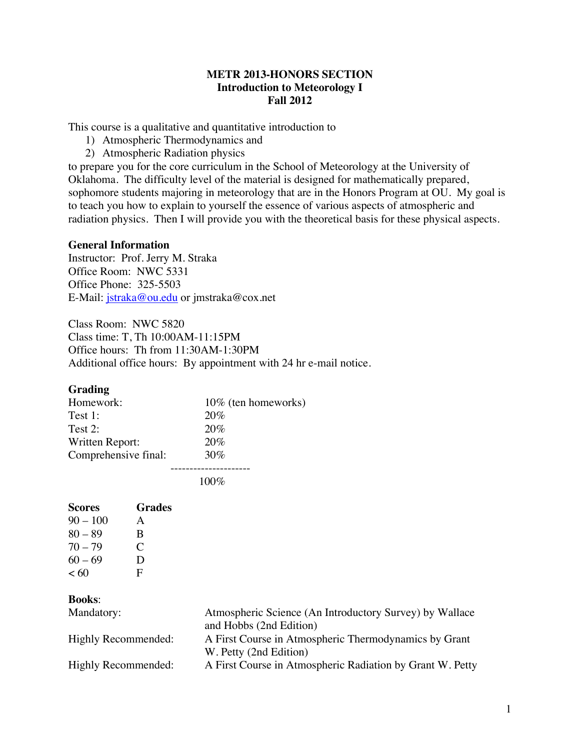# **METR 2013-HONORS SECTION Introduction to Meteorology I Fall 2012**

This course is a qualitative and quantitative introduction to

- 1) Atmospheric Thermodynamics and
- 2) Atmospheric Radiation physics

to prepare you for the core curriculum in the School of Meteorology at the University of Oklahoma. The difficulty level of the material is designed for mathematically prepared, sophomore students majoring in meteorology that are in the Honors Program at OU. My goal is to teach you how to explain to yourself the essence of various aspects of atmospheric and radiation physics. Then I will provide you with the theoretical basis for these physical aspects.

## **General Information**

Instructor: Prof. Jerry M. Straka Office Room: NWC 5331 Office Phone: 325-5503 E-Mail: jstraka@ou.edu or jmstraka@cox.net

Class Room: NWC 5820 Class time: T, Th 10:00AM-11:15PM Office hours: Th from 11:30AM-1:30PM Additional office hours: By appointment with 24 hr e-mail notice.

# **Grading**

| Homework:            | 10\% (ten homeworks) |
|----------------------|----------------------|
| Test 1:              | 20%                  |
| Test 2:              | 20%                  |
| Written Report:      | 20%                  |
| Comprehensive final: | 30%                  |
|                      |                      |

100%

| <b>Scores</b> | Grades        |
|---------------|---------------|
| $90 - 100$    | A             |
| $80 - 89$     | B             |
| $70 - 79$     | $\mathcal{C}$ |
| $60 - 69$     | Ð             |
| < 60          | F             |

# **Books**:

| Mandatory:          | Atmospheric Science (An Introductory Survey) by Wallace   |
|---------------------|-----------------------------------------------------------|
|                     | and Hobbs (2nd Edition)                                   |
| Highly Recommended: | A First Course in Atmospheric Thermodynamics by Grant     |
|                     | W. Petty (2nd Edition)                                    |
| Highly Recommended: | A First Course in Atmospheric Radiation by Grant W. Petty |